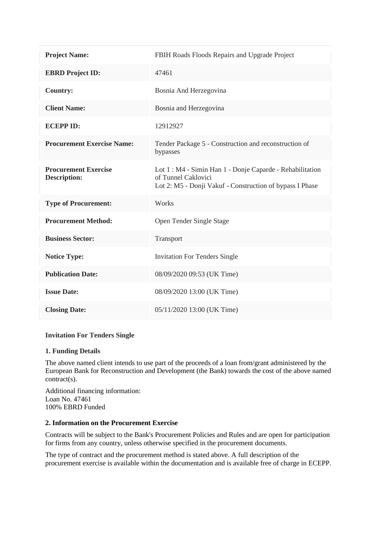| <b>Project Name:</b>                               | FBIH Roads Floods Repairs and Upgrade Project                                                                                                |
|----------------------------------------------------|----------------------------------------------------------------------------------------------------------------------------------------------|
| <b>EBRD</b> Project ID:                            | 47461                                                                                                                                        |
| <b>Country:</b>                                    | Bosnia And Herzegovina                                                                                                                       |
| <b>Client Name:</b>                                | Bosnia and Herzegovina                                                                                                                       |
| <b>ECEPPID:</b>                                    | 12912927                                                                                                                                     |
| <b>Procurement Exercise Name:</b>                  | Tender Package 5 - Construction and reconstruction of<br>bypasses                                                                            |
| <b>Procurement Exercise</b><br><b>Description:</b> | Lot 1 : M4 - Simin Han 1 - Donje Caparde - Rehabilitation<br>of Tunnel Caklovici<br>Lot 2: M5 - Donji Vakuf - Construction of bypass I Phase |
| <b>Type of Procurement:</b>                        | Works                                                                                                                                        |
| <b>Procurement Method:</b>                         | Open Tender Single Stage                                                                                                                     |
| <b>Business Sector:</b>                            | Transport                                                                                                                                    |
| <b>Notice Type:</b>                                | <b>Invitation For Tenders Single</b>                                                                                                         |
| <b>Publication Date:</b>                           | 08/09/2020 09:53 (UK Time)                                                                                                                   |
| <b>Issue Date:</b>                                 | 08/09/2020 13:00 (UK Time)                                                                                                                   |
| <b>Closing Date:</b>                               | 05/11/2020 13:00 (UK Time)                                                                                                                   |

### **Invitation For Tenders Single**

### **1. Funding Details**

The above named client intends to use part of the proceeds of a loan from/grant administered by the European Bank for Reconstruction and Development (the Bank) towards the cost of the above named contract(s).

Additional financing information: Loan No. 47461 100% EBRD Funded

## **2. Information on the Procurement Exercise**

Contracts will be subject to the Bank's Procurement Policies and Rules and are open for participation for firms from any country, unless otherwise specified in the procurement documents.

The type of contract and the procurement method is stated above. A full description of the procurement exercise is available within the documentation and is available free of charge in ECEPP.